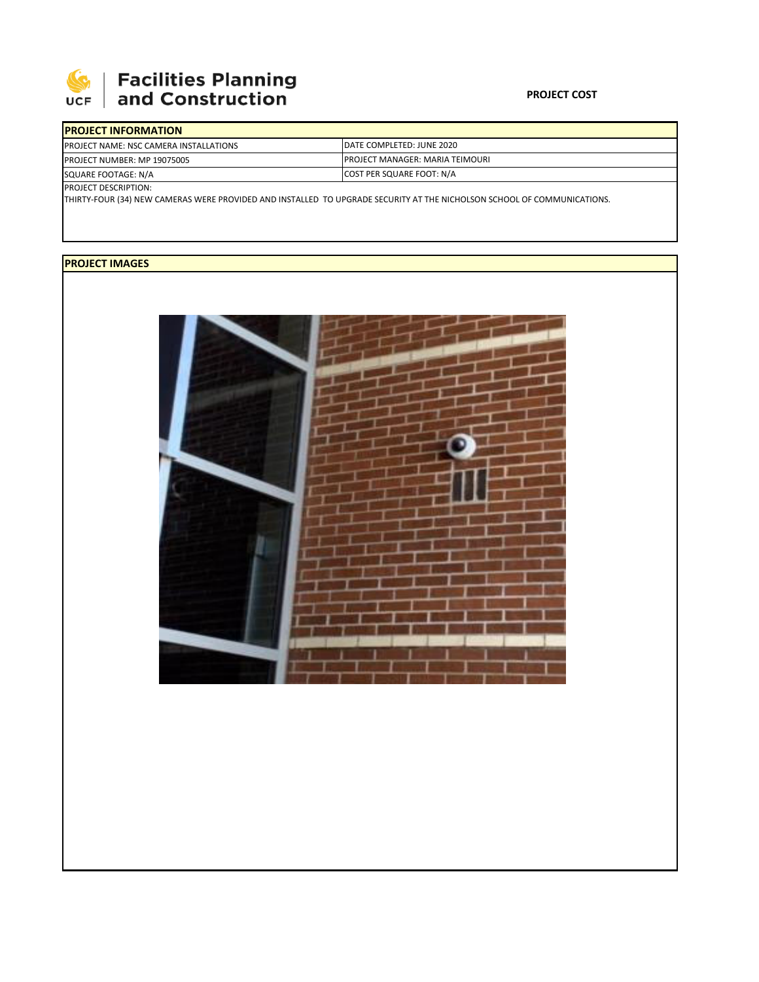

## Facilities Planning<br>and Construction

| <b>IPROJECT INFORMATION</b>                   |                                         |  |  |  |
|-----------------------------------------------|-----------------------------------------|--|--|--|
| <b>PROJECT NAME: NSC CAMERA INSTALLATIONS</b> | DATE COMPLETED: JUNE 2020               |  |  |  |
| <b>PROJECT NUMBER: MP 19075005</b>            | <b>IPROJECT MANAGER: MARIA TEIMOURI</b> |  |  |  |
| SQUARE FOOTAGE: N/A                           | COST PER SQUARE FOOT: N/A               |  |  |  |
| <b>PROJECT DESCRIPTION:</b>                   |                                         |  |  |  |

THIRTY‐FOUR (34) NEW CAMERAS WERE PROVIDED AND INSTALLED TO UPGRADE SECURITY AT THE NICHOLSON SCHOOL OF COMMUNICATIONS.

## **PROJECT IMAGES**